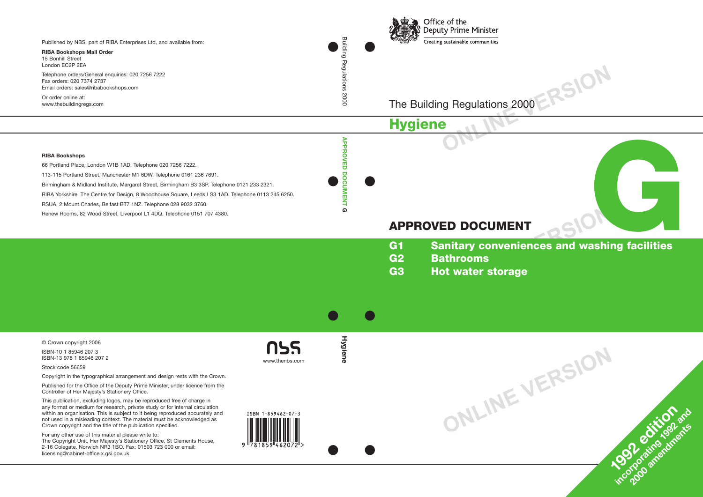

The Building Regulations 2000

# **Hygiene**



# **APPROVED DOCUMENT**

- **G1 Sanitary conveniences and washing facilities**
- **G2 Bathr ooms**
- **G3 Hot water storage**

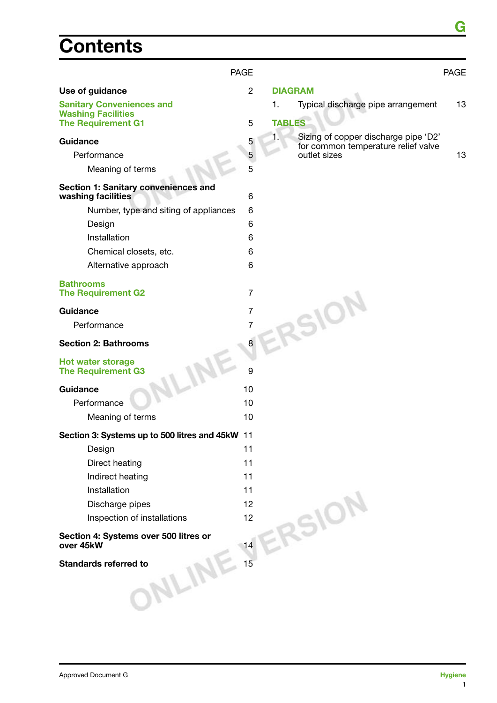# **Contents**

|                                                                | <b>PAGE</b>    |                                                                                   | <b>PAGE</b> |
|----------------------------------------------------------------|----------------|-----------------------------------------------------------------------------------|-------------|
| Use of guidance                                                | $\overline{c}$ | <b>DIAGRAM</b>                                                                    |             |
| <b>Sanitary Conveniences and</b>                               |                | Typical discharge pipe arrangement<br>1.                                          | 13          |
| <b>Washing Facilities</b><br><b>The Requirement G1</b>         | 5              | <b>TABLES</b>                                                                     |             |
| <b>Guidance</b>                                                | 5              | 1.<br>Sizing of copper discharge pipe 'D2'<br>for common temperature relief valve |             |
| Performance                                                    | 5              | outlet sizes                                                                      | 13          |
| Meaning of terms                                               | 5              |                                                                                   |             |
| Section 1: Sanitary conveniences and<br>washing facilities     | 6              |                                                                                   |             |
| Number, type and siting of appliances                          | 6              |                                                                                   |             |
| Design                                                         | 6              |                                                                                   |             |
| Installation                                                   | 6              |                                                                                   |             |
| Chemical closets, etc.                                         | 6              |                                                                                   |             |
| Alternative approach                                           | 6              |                                                                                   |             |
| <b>Bathrooms</b><br><b>The Requirement G2</b>                  | 7              |                                                                                   |             |
|                                                                |                |                                                                                   |             |
| <b>Guidance</b>                                                | $\overline{7}$ |                                                                                   |             |
| Performance                                                    | 7              | SION                                                                              |             |
| <b>Section 2: Bathrooms</b>                                    | 8              |                                                                                   |             |
| ILINE<br><b>Hot water storage</b><br><b>The Requirement G3</b> | 9              |                                                                                   |             |
| Guidance                                                       | 10             |                                                                                   |             |
| Performance                                                    | 10             |                                                                                   |             |
| Meaning of terms                                               | 10             |                                                                                   |             |
| Section 3: Systems up to 500 litres and 45kW 11                |                |                                                                                   |             |
| Design                                                         | 11             |                                                                                   |             |
| Direct heating                                                 | 11             |                                                                                   |             |
| Indirect heating                                               | 11             |                                                                                   |             |
| Installation                                                   | 11             |                                                                                   |             |
| Discharge pipes                                                |                |                                                                                   |             |
| Inspection of installations                                    |                |                                                                                   |             |
| Section 4: Systems over 500 litres or<br>over 45kW             |                |                                                                                   |             |
| <b>Standards referred to</b>                                   |                | NLINE 14 ERSION                                                                   |             |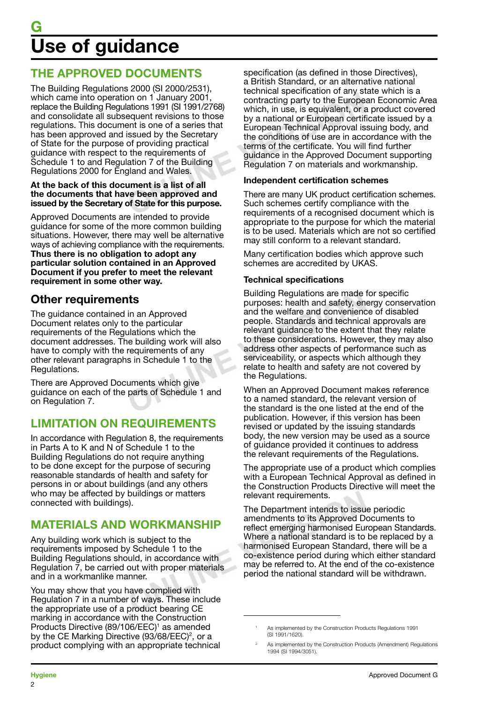# **G Use of guidance**

# **THE APPROVED DOCUMENTS**

The Building Regulations 2000 (SI 2000/2531), which came into operation on 1 January 2001, replace the Building Regulations 1991 (SI 1991/2768) and consolidate all subsequent revisions to those regulations. This document is one of a series that has been approved and issued by the Secretary of State for the purpose of providing practical guidance with respect to the requirements of Schedule 1 to and Regulation 7 of the Building Regulations 2000 for England and Wales.

### **At the back of this document is a list of all the documents that have been approved and issued by the Secretary of State for this purpose.**

Approved Documents are intended to provide guidance for some of the more common building situations. However, there may well be alternative ways of achieving compliance with the requirements. **Thus there is no obligation to adopt any particular solution contained in an Approved Document if you prefer to meet the relevant requirement in some other way.**

# **Other requirements**

The guidance contained in an Approved Document relates only to the particular requirements of the Regulations which the document addresses. The building work will also have to comply with the requirements of any other relevant paragraphs in Schedule 1 to the Regulations.

There are Approved Documents which give guidance on each of the parts of Schedule 1 and on Regulation 7.

# **LIMITATION ON REQUIREMENTS**

In accordance with Regulation 8, the requirements in Parts A to K and N of Schedule 1 to the Building Regulations do not require anything to be done except for the purpose of securing reasonable standards of health and safety for persons in or about buildings (and any others who may be affected by buildings or matters connected with buildings).

# **MATERIALS AND WORKMANSHIP**

Any building work which is subject to the requirements imposed by Schedule 1 to the Building Regulations should, in accordance with Regulation 7, be carried out with proper materials and in a workmanlike manner.

You may show that you have complied with Regulation 7 in a number of ways. These include the appropriate use of a product bearing CE marking in accordance with the [Construction](http://www.theBuildingRegs.com/RefDocs/CIS/Lookup.asp?AccessionNo=261105REG)  [Products Directive](http://www.theBuildingRegs.com/RefDocs/CIS/Lookup.asp?AccessionNo=261105REG) (89/106/EEC)<sup>1</sup> as amended by the CE Marking Directive  $(93/68/EEC)^2$ , or a product complying with an appropriate technical

specification (as defined in those Directives), a British Standard, or an alternative national technical specification of any state which is a contracting party to the European Economic Area which, in use, is equivalent, or a product covered by a national or European certificate issued by a European Technical Approval issuing body, and the conditions of use are in accordance with the terms of the certificate. You will find further guidance in the Approved Document supporting Regulation 7 on materials and workmanship.

## **Independent certification schemes**

There are many UK product certification schemes. Such schemes certify compliance with the requirements of a recognised document which is appropriate to the purpose for which the material is to be used. Materials which are not so certified may still conform to a relevant standard.

Many certification bodies which approve such schemes are accredited by UKAS.

# **Technical specifications**

Building Regulations are made for specific purposes: health and safety, energy conservation and the welfare and convenience of disabled people. Standards and technical approvals are relevant guidance to the extent that they relate to these considerations. However, they may also address other aspects of performance such as serviceability, or aspects which although they relate to health and safety are not covered by the Regulations.

When an Approved Document makes reference to a named standard, the relevant version of the standard is the one listed at the end of the publication. However, if this version has been revised or updated by the issuing standards body, the new version may be used as a source of guidance provided it continues to address the relevant requirements of the Regulations.

The appropriate use of a product which complies with a European Technical Approval as defined in the Construction Products Directive will meet the relevant requirements.

The Department intends to issue periodic amendments to its Approved Documents to reflect emerging harmonised European Standards. Where a national standard is to be replaced by a harmonised European Standard, there will be a co-existence period during which either standard may be referred to. At the end of the co-existence period the national standard will be withdrawn.

<sup>1</sup> As implemented by the Construction Products Regulations 1991 (SI 1991/1620).

<sup>2</sup> As implemented by the Construction Products (Amendment) Regulations 1994 (SI 1994/3051).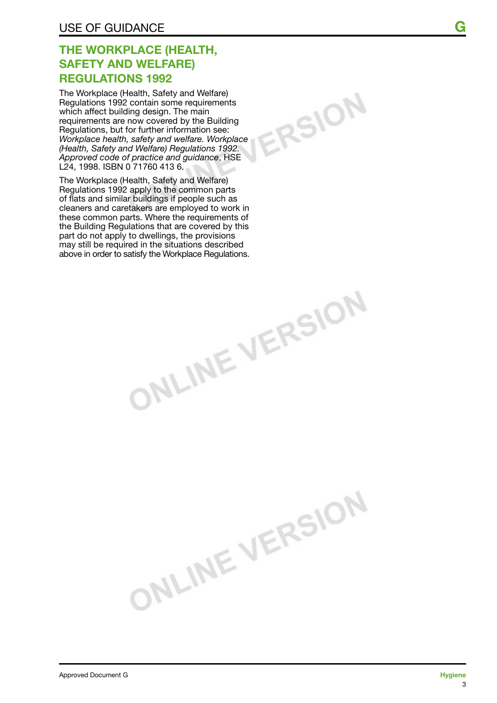# **The Workplace (Health, Safety and Welfare) Regulations 1992**

The Workplace (Health, Safety and Welfare) Regulations 1992 contain some requirements which affect building design. The main requirements are now covered by the Building Regulations, but for further information see: *Workplace health, safety and welfare. Workplace (Health, Safety and Welfare) Regulations 1992. Approved code of practice and guidance*, HSE L24, 1998. ISBN 0 71760 413 6.

ERSION

ONLINE VERSION

ONLINE VERSION

The Workplace (Health, Safety and Welfare) Regulations 1992 apply to the common parts of flats and similar buildings if people such as cleaners and caretakers are employed to work in these common parts. Where the requirements of the Building Regulations that are covered by this part do not apply to dwellings, the provisions may still be required in the situations described above in order to satisfy the Workplace Regulations.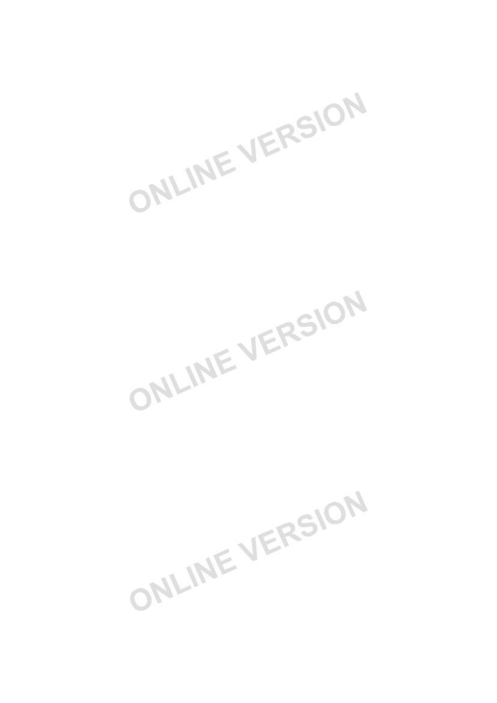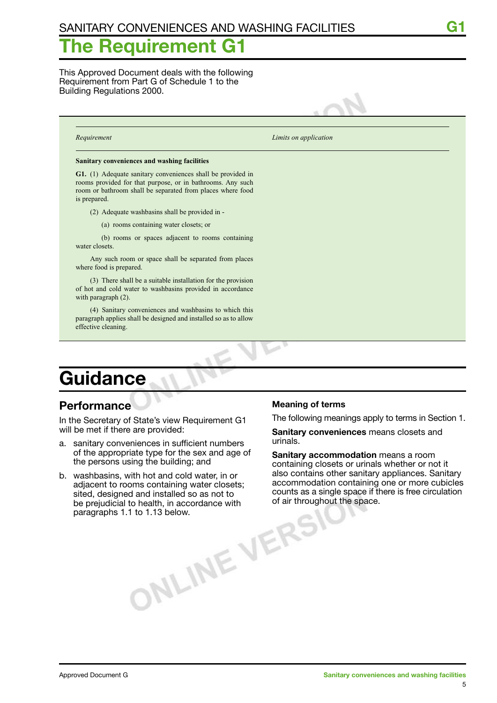# **Requirement**

This Approved Document deals with the following Requirement from Part G of Schedule 1 to the Building Regulations 2000.

*Requirement Limits**on**application* **<b>***Limits on application* 

### **Sanitary conveniences and washing facilities**

**G1.** (1) Adequate sanitary conveniences shall be provided in rooms provided for that purpose, or in bathrooms. Any such room or bathroom shall be separated from places where food is prepared.

(2) Adequate washbasins shall be provided in -

(a) rooms containing water closets; or

 (b) rooms or spaces adjacent to rooms containing water closets.

Any such room or space shall be separated from places where food is prepared.

(3) There shall be a suitable installation for the provision of hot and cold water to washbasins provided in accordance with paragraph  $(2)$ .

(4) Sanitary conveniences and washbasins to which this paragraph applies shall be designed and installed so as to allow effective cleaning.

# **Guidance**

# **Performance**

In the Secretary of State's view Requirement G1 will be met if there are provided:

- a. sanitary conveniences in sufficient numbers of the appropriate type for the sex and age of the persons using the building; and
- b. washbasins, with hot and cold water, in or adjacent to rooms containing water closets; sited, designed and installed so as not to<br>be prejudicial to health, in accordance with paragraphs 1.1 to 1.13 below. be prejudicial to health, in accordance with paragraphs 1.1 to 1.13 below.

## **Meaning of terms**

The following meanings apply to terms in Section 1.

**Sanitary conveniences** means closets and urinals.

**Sanitary accommodation** means a room containing closets or urinals whether or not it also contains other sanitary appliances. Sanitary accommodation containing one or more cubicles counts as a single space if there is free circulation of air throughout the space.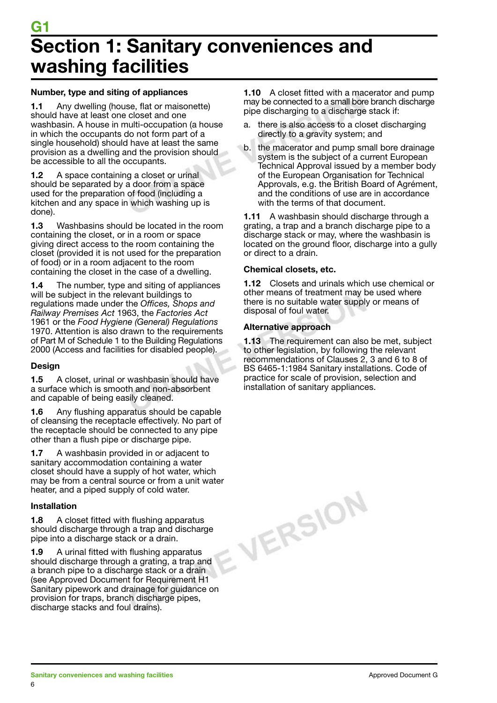# **ection 1: Sanitary conveniences and washing facilities G1**

## **Number, type and siting of appliances**

**1.1** Any dwelling (house, flat or maisonette) should have at least one closet and one washbasin. A house in multi-occupation (a house in which the occupants do not form part of a single household) should have at least the same provision as a dwelling and the provision should be accessible to all the occupants.

**1.2** A space containing a closet or urinal should be separated by a door from a space used for the preparation of food (including a kitchen and any space in which washing up is done).

**1.3** Washbasins should be located in the room containing the closet, or in a room or space giving direct access to the room containing the closet (provided it is not used for the preparation of food) or in a room adjacent to the room containing the closet in the case of a dwelling.

**1.4** The number, type and siting of appliances will be subject in the relevant buildings to regulations made under the *Offices, Shops and Railway Premises Act* 1963, the *Factories Act* 1961 or the *Food Hygiene (General) Regulations* 1970. Attention is also drawn to the requirements of Part M of Schedule 1 to the Building Regulations 2000 (Access and facilities for disabled people).

# **Design**

**1.5** A closet, urinal or washbasin should have a surface which is smooth and non-absorbent and capable of being easily cleaned.

**1.6** Any flushing apparatus should be capable of cleansing the receptacle effectively. No part of the receptacle should be connected to any pipe other than a flush pipe or discharge pipe.

**1.7** A washbasin provided in or adjacent to sanitary accommodation containing a water closet should have a supply of hot water, which may be from a central source or from a unit water heater, and a piped supply of cold water.

# **Installation**

6

**1.8** A closet fitted with flushing apparatus should discharge through a trap and discharge pipe into a discharge stack or a drain.

**1.9** A urinal fitted with flushing apparatus should discharge through a grating, a trap and a branch pipe to a discharge stack or a drain (see Approved Document for Requirement H1 Sanitary pipework and drainage for guidance on provision for traps, branch discharge pipes, discharge stacks and foul drains).

**1.10** A closet fitted with a macerator and pump may be connected to a small bore branch discharge pipe discharging to a discharge stack if:

- a. there is also access to a closet discharging directly to a gravity system; and
- b. the macerator and pump small bore drainage system is the subject of a current European Technical Approval issued by a member body of the European Organisation for Technical Approvals, e.g. the British Board of Agrément, and the conditions of use are in accordance with the terms of that document.

**1.11** A washbasin should discharge through a grating, a trap and a branch discharge pipe to a discharge stack or may, where the washbasin is located on the ground floor, discharge into a gully or direct to a drain.

## **Chemical closets, etc.**

**1.12** Closets and urinals which use chemical or other means of treatment may be used where there is no suitable water supply or means of disposal of foul water.

## **Alternative approach**

VERSION

**1.13** The requirement can also be met, subject to other legislation, by following the relevant recommendations of Clauses 2, 3 and 6 to 8 of BS 6465-1:1984 Sanitary installations. Code of practice for scale of provision, selection and installation of sanitary appliances.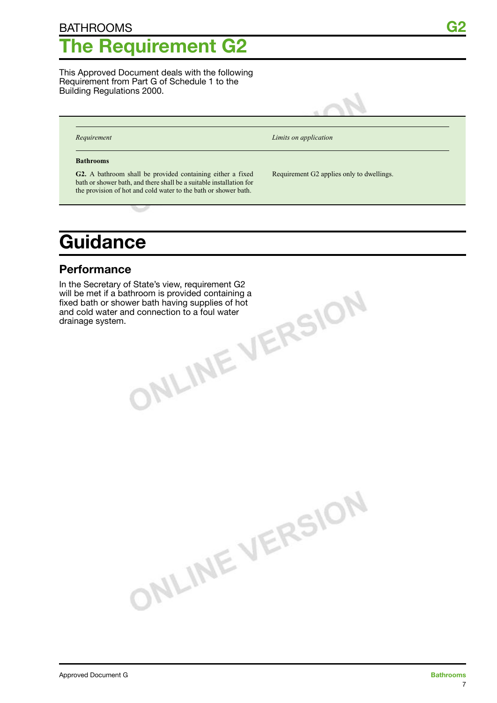# **The Requirement G2** BATHROOMS

This Approved Document deals with the following Requirement from Part G of Schedule 1 to the Building Regulations 2000.

*Requirement Limits**on**application* 

### **Bathrooms**

**G2.** A bathroom shall be provided containing either a fixed bath or shower bath, and there shall be a suitable installation for the provision of hot and cold water to the bath or shower bath.

Requirement G2 applies only to dwellings.

# **Guidance**

# **Performance**

In the Secretary of State's view, requirement G2<br>will be met if a bathroom is provided containing a<br>fixed bath or shower bath having supplies of hot<br>and cold water and connection to a foul water<br>drainage system. will be met if a bathroom is provided containing a fixed bath or shower bath having supplies of hot and cold water and connection to a foul water drainage system.

ONLINE VERSION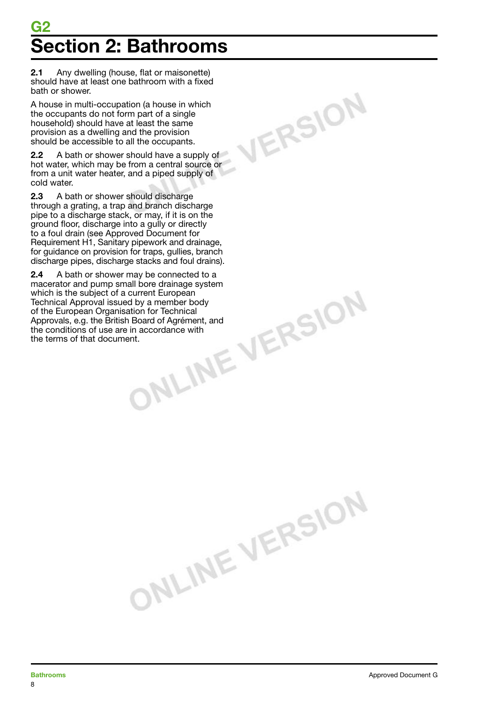# **Section 2: Bathrooms G2**

**2.1** Any dwelling (house, flat or maisonette) should have at least one bathroom with a fixed bath or shower.

A house in multi-occupation (a house in which the occupants do not form part of a single household) should have at least the same provision as a dwelling and the provision should be accessible to all the occupants.

**2.2** A bath or shower should have a supply of hot water, which may be from a central source or from a unit water heater, and a piped supply of cold water.

**2.3** A bath or shower should discharge through a grating, a trap and branch discharge pipe to a discharge stack, or may, if it is on the ground floor, discharge into a gully or directly to a foul drain (see Approved Document for Requirement H1, Sanitary pipework and drainage, for guidance on provision for traps, gullies, branch discharge pipes, discharge stacks and foul drains).

**2.4** A bath or shower may be connected to a<br>macerator and pump small bore drainage system<br>which is the subject of a current European<br>Technical Approval issued by a member body<br>of the European Organisation for Technical<br>Ap macerator and pump small bore drainage system which is the subject of a current European Technical Approval issued by a member body of the European Organisation for Technical Approvals, e.g. the British Board of Agrément, and the conditions of use are in accordance with the terms of that document.

VERSION

ONLINE VERSION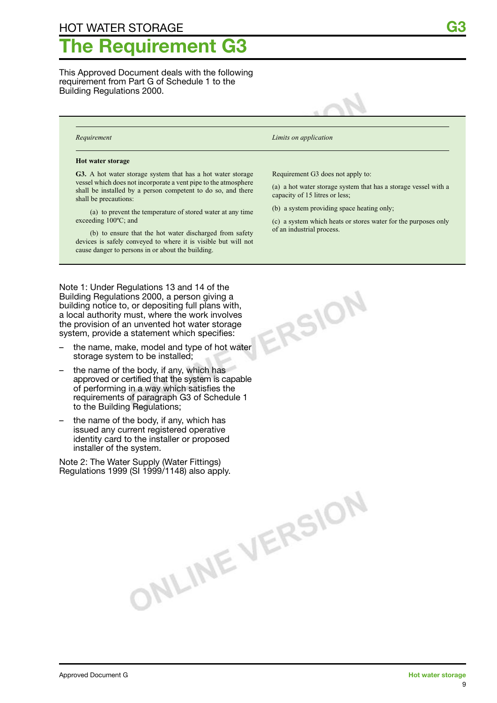# **HOT WATER STORAGE**

# **The Requirement G3**

This Approved Document deals with the following requirement from Part G of Schedule 1 to the Building Regulations 2000.

### **Hot water storage**

**G3.** A hot water storage system that has a hot water storage vessel which does not incorporate a vent pipe to the atmosphere shall be installed by a person competent to do so, and there shall be precautions:

(a) to prevent the temperature of stored water at any time exceeding 100ºC; and

(b) to ensure that the hot water discharged from safety devices is safely conveyed to where it is visible but will not cause danger to persons in or about the building.

Note 1: Under Regulations 13 and 14 of the Building Regulations 2000, a person giving a building notice to, or depositing full plans with, a local authority must, where the work involves the provision of an unvented hot water storage system, provide a statement which specifies:

- the name, make, model and type of hot water storage system to be installed;
- the name of the body, if any, which has approved or certified that the system is capable of performing in a way which satisfies the requirements of paragraph G3 of Schedule 1 to the Building Regulations;
- the name of the body, if any, which has issued any current registered operative identity card to the installer or proposed installer of the system.

Note 2: The [Water Supply \(Water Fittings\)](http://www.theBuildingRegs.com/RefDocs/CIS/Lookup.asp?AccessionNo=247323REG)  [Regulations 1999](http://www.theBuildingRegs.com/RefDocs/CIS/Lookup.asp?AccessionNo=247323REG) (SI 1999/1148) also apply.<br>
ALL MERSION

*Requirement Limits**on**application* **<b>***Limits on application* 

Requirement G3 does not apply to:

ERSION

(a) a hot water storage system that has a storage vessel with a capacity of 15 litres or less;

(b) a system providing space heating only;

(c) a system which heats or stores water for the purposes only of an industrial process.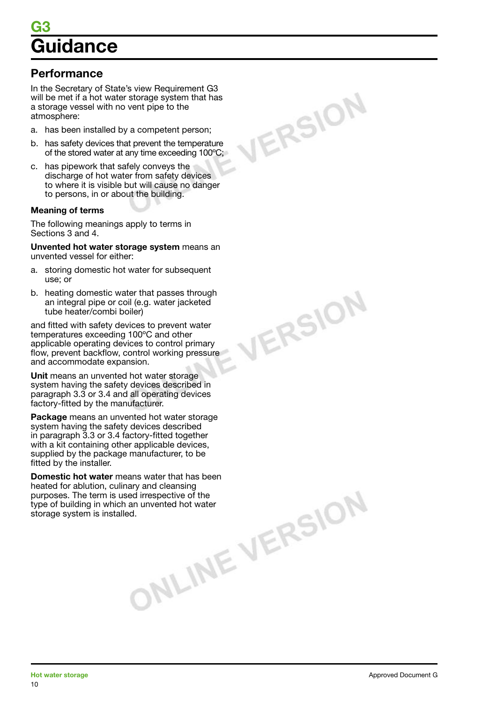# **Guidance G3**

# **Performance**

In the Secretary of State's view Requirement G3 will be met if a hot water storage system that has a storage vessel with no vent pipe to the atmosphere:

- a. has been installed by a competent person;
- b. has safety devices that prevent the temperature of the stored water at any time exceeding 100ºC;
- c. has pipework that safely conveys the discharge of hot water from safety devices to where it is visible but will cause no danger to persons, in or about the building.

# **Meaning of terms**

The following meanings apply to terms in Sections 3 and 4.

**Unvented hot water storage system** means an unvented vessel for either:

- a. storing domestic hot water for subsequent use; or
- b. heating domestic water that passes through an integral pipe or coil (e.g. water jacketed tube heater/combi boiler)

and fitted with safety devices to prevent water temperatures exceeding 100ºC and other applicable operating devices to control primary flow, prevent backflow, control working pressure and accommodate expansion.

**Unit** means an unvented hot water storage system having the safety devices described in paragraph 3.3 or 3.4 and all operating devices factory-fitted by the manufacturer.

**Package** means an unvented hot water storage system having the safety devices described in paragraph 3.3 or 3.4 factory-fitted together with a kit containing other applicable devices, supplied by the package manufacturer, to be fitted by the installer.

**Domestic hot water** means water that has been<br>heated for ablution, culimary and cleansing<br>purposes. The term is used irrespective of the<br>type of building in which an unvented hot water<br>storage system is installed. heated for ablution, culinary and cleansing purposes. The term is used irrespective of the type of building in which an unvented hot water storage system is installed.

VERSION

VERSION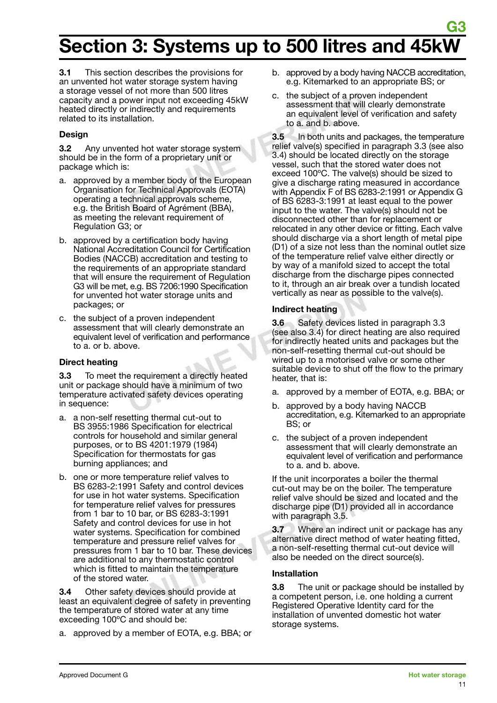# **Section 3: Systems up to 500 litres and 45k G3**

**3.1** This section describes the provisions for an unvented hot water storage system having a storage vessel of not more than 500 litres capacity and a power input not exceeding 45kW heated directly or indirectly and requirements related to its installation.

## **Design**

**3.2** Any unvented hot water storage system should be in the form of a proprietary unit or package which is:

- a. approved by a member body of the European Organisation for Technical Approvals (EOTA) operating a technical approvals scheme, e.g. the British Board of Agrément (BBA), as meeting the relevant requirement of Regulation G3; or
- b. approved by a certification body having National Accreditation Council for Certification Bodies (NACCB) accreditation and testing to the requirements of an appropriate standard that will ensure the requirement of Regulation G3 will be met, e.g. [BS 7206:1990](http://www.theBuildingRegs.com/RefDocs/CIS/Lookup.asp?AccessionNo=223258REG) Specification for unvented hot water storage units and packages; or
- c. the subject of a proven independent assessment that will clearly demonstrate an equivalent level of verification and performance to a. or b. above.

# **Direct heating**

**3.3** To meet the requirement a directly heated unit or package should have a minimum of two temperature activated safety devices operating in sequence:

- a. a non-self resetting thermal cut-out to [BS 3955:1986](http://www.theBuildingRegs.com/RefDocs/CIS/Lookup.asp?AccessionNo=13037REG) Specification for electrical controls for household and similar general purposes, or to [BS 4201:1979 \(1984\)](http://www.theBuildingRegs.com/RefDocs/CIS/Lookup.asp?AccessionNo=16711REG) Specification for thermostats for gas burning appliances; and
- b. one or more temperature relief valves to BS 6283-2:1991 Safety and control devices for use in hot water systems. Specification for temperature relief valves for pressures from 1 bar to 10 bar, or [BS 6283-3:1991](http://www.theBuildingRegs.com/RefDocs/CIS/Lookup.asp?AccessionNo=16459REG) [Safety and control devices for use in hot](http://www.theBuildingRegs.com/RefDocs/CIS/Lookup.asp?AccessionNo=16459REG)  [water systems.](http://www.theBuildingRegs.com/RefDocs/CIS/Lookup.asp?AccessionNo=16459REG) Specification for combined temperature and pressure relief valves for pressures from 1 bar to 10 bar. These devices are additional to any thermostatic control which is fitted to maintain the temperature of the stored water.

**3.4** Other safety devices should provide at least an equivalent degree of safety in preventing the temperature of stored water at any time exceeding 100ºC and should be:

a. approved by a member of EOTA, e.g. BBA; or

- b. approved by a body having NACCB accreditation, e.g. Kitemarked to an appropriate BS; or
- c. the subject of a proven independent assessment that will clearly demonstrate an equivalent level of verification and safety to a. and b. above.

**3.5** In both units and packages, the temperature relief valve(s) specified in paragraph 3.3 (see also 3.4) should be located directly on the storage vessel, such that the stored water does not exceed 100ºC. The valve(s) should be sized to give a discharge rating measured in accordance with Appendix F of [BS 6283-2:1991](http://www.theBuildingRegs.com/RefDocs/CIS/Lookup.asp?AccessionNo=16512REG) or Appendix G of BS 6283-3:1991 at least equal to the power input to the water. The valve(s) should not be disconnected other than for replacement or relocated in any other device or fitting. Each valve should discharge via a short length of metal pipe (D1) of a size not less than the nominal outlet size of the temperature relief valve either directly or by way of a manifold sized to accept the total discharge from the discharge pipes connected to it, through an air break over a tundish located vertically as near as possible to the valve(s).

## **Indirect heating**

**3.6** Safety devices listed in paragraph 3.3 (see also 3.4) for direct heating are also required for indirectly heated units and packages but the non-self-resetting thermal cut-out should be wired up to a motorised valve or some other suitable device to shut off the flow to the primary heater, that is:

- a. approved by a member of EOTA, e.g. BBA; or
- b. approved by a body having NACCB accreditation, e.g. Kitemarked to an appropriate BS; or
- c. the subject of a proven independent assessment that will clearly demonstrate an equivalent level of verification and performance to a. and b. above.

If the unit incorporates a boiler the thermal cut-out may be on the boiler. The temperature relief valve should be sized and located and the discharge pipe (D1) provided all in accordance with paragraph 3.5.

**3.7** Where an indirect unit or package has any alternative direct method of water heating fitted, a non-self-resetting thermal cut-out device will also be needed on the direct source(s).

# **Installation**

**3.8** The unit or package should be installed by a competent person, i.e. one holding a current Registered Operative Identity card for the installation of unvented domestic hot water storage systems.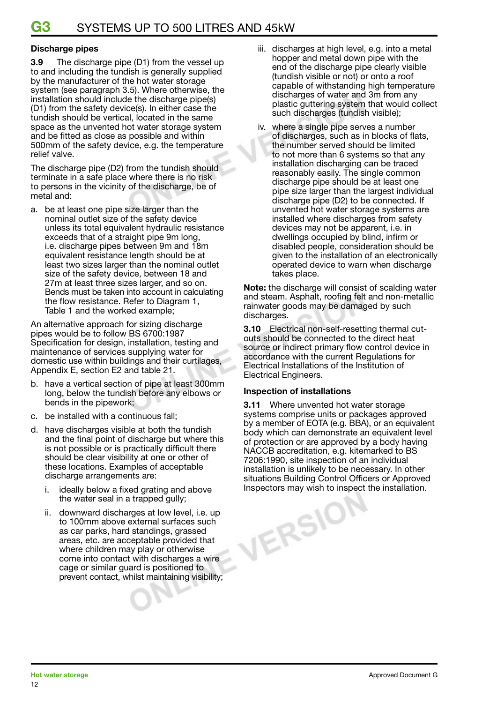# **Discharge pipes**

**3.9** The discharge pipe (D1) from the vessel up to and including the tundish is generally supplied by the manufacturer of the hot water storage system (see paragraph 3.5). Where otherwise, the installation should include the discharge pipe(s) (D1) from the safety device(s). In either case the tundish should be vertical, located in the same space as the unvented hot water storage system and be fitted as close as possible and within 500mm of the safety device, e.g. the temperature relief valve.

The discharge pipe (D2) from the tundish should terminate in a safe place where there is no risk to persons in the vicinity of the discharge, be of metal and:

a. be at least one pipe size larger than the nominal outlet size of the safety device unless its total equivalent hydraulic resistance exceeds that of a straight pipe 9m long, i.e. discharge pipes between 9m and 18m equivalent resistance length should be at least two sizes larger than the nominal outlet size of the safety device, between 18 and 27m at least three sizes larger, and so on. Bends must be taken into account in calculating the flow resistance. Refer to Diagram 1, Table 1 and the worked example;

An alternative approach for sizing discharge pipes would be to follow [BS 6700:1987](http://www.theBuildingRegs.com/RefDocs/CIS/Lookup.asp?AccessionNo=98868REG) Specification for design, installation, testing and maintenance of services supplying water for domestic use within buildings and their curtilages, Appendix E, section E2 and table 21.

- b. have a vertical section of pipe at least 300mm long, below the tundish before any elbows or bends in the pipework;
- c. be installed with a continuous fall;
- d. have discharges visible at both the tundish and the final point of discharge but where this is not possible or is practically difficult there should be clear visibility at one or other of these locations. Examples of acceptable discharge arrangements are:
	- i. ideally below a fixed grating and above the water seal in a trapped gully;
	- downward discharges at low level, i.e. up to 100mm above external surfaces such as car parks, hard standings, grassed areas, etc. are acceptable provided that where children may play or otherwise come into contact with discharges a wire cage or similar guard is positioned to prevent contact, whilst maintaining visibility;
- iii. discharges at high level, e.g. into a metal hopper and metal down pipe with the end of the discharge pipe clearly visible (tundish visible or not) or onto a roof capable of withstanding high temperature discharges of water and 3m from any plastic guttering system that would collect such discharges (tundish visible);
- iv. where a single pipe serves a number of discharges, such as in blocks of flats, the number served should be limited to not more than 6 systems so that any installation discharging can be traced reasonably easily. The single common discharge pipe should be at least one pipe size larger than the largest individual discharge pipe (D2) to be connected. If unvented hot water storage systems are installed where discharges from safety devices may not be apparent, i.e. in dwellings occupied by blind, infirm or disabled people, consideration should be given to the installation of an electronically operated device to warn when discharge takes place.

**Note:** the discharge will consist of scalding water and steam. Asphalt, roofing felt and non-metallic rainwater goods may be damaged by such discharges.

**3.10** Electrical non-self-resetting thermal cutouts should be connected to the direct heat source or indirect primary flow control device in accordance with the current Regulations for Electrical Installations of the Institution of Electrical Engineers.

## **Inspection of installations**

**3.11** Where unvented hot water storage systems comprise units or packages approved by a member of EOTA (e.g. BBA), or an equivalent body which can demonstrate an equivalent level of protection or are approved by a body having NACCB accreditation, e.g. kitemarked to [BS](http://www.theBuildingRegs.com/RefDocs/CIS/Lookup.asp?AccessionNo=223258REG)  [7206:1990,](http://www.theBuildingRegs.com/RefDocs/CIS/Lookup.asp?AccessionNo=223258REG) site inspection of an individual installation is unlikely to be necessary. In other situations Building Control Officers or Approved Inspectors may wish to inspect the installation.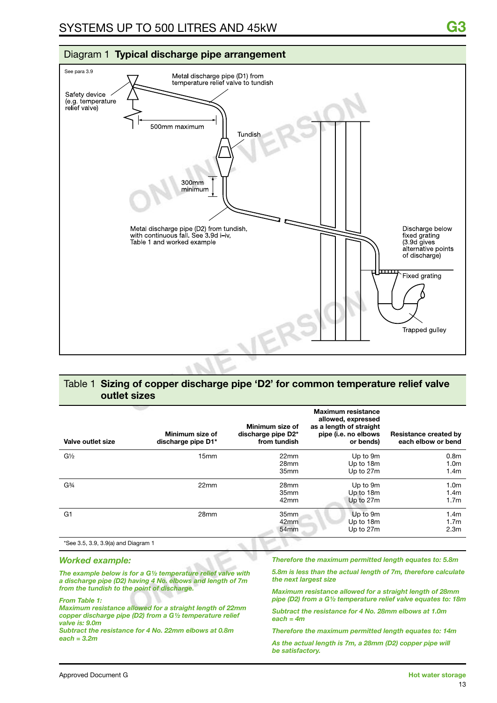

# Table 1 **Sizing of copper discharge pipe 'D2' for common temperature relief valve outlet sizes**

| Valve outlet size                     | Minimum size of<br>discharge pipe D1* | Minimum size of<br>discharge pipe D2*<br>from tundish | <b>Maximum resistance</b><br>allowed, expressed<br>as a length of straight<br>pipe (i.e. no elbows<br>or bends) | <b>Resistance created by</b><br>each elbow or bend |
|---------------------------------------|---------------------------------------|-------------------------------------------------------|-----------------------------------------------------------------------------------------------------------------|----------------------------------------------------|
| $G\frac{1}{2}$                        | 15 <sub>mm</sub>                      | 22mm                                                  | Up to 9m                                                                                                        | 0.8 <sub>m</sub>                                   |
|                                       |                                       | 28mm                                                  | Up to 18m                                                                                                       | 1.0 <sub>m</sub>                                   |
|                                       |                                       | 35 <sub>mm</sub>                                      | Up to 27m                                                                                                       | 1.4 <sub>m</sub>                                   |
| G <sup>3</sup> / <sub>4</sub><br>22mm | 28mm                                  | Up to 9m                                              | 1.0 <sub>m</sub>                                                                                                |                                                    |
|                                       |                                       | 35 <sub>mm</sub>                                      | Up to 18m                                                                                                       | 1.4 <sub>m</sub>                                   |
|                                       |                                       | 42mm                                                  | Up to 27m                                                                                                       | 1.7 <sub>m</sub>                                   |
| G <sub>1</sub><br>28 <sub>mm</sub>    | 35mm                                  | Up to 9m                                              | 1.4 <sub>m</sub>                                                                                                |                                                    |
|                                       |                                       | 42 <sub>mm</sub>                                      | Up to 18m                                                                                                       | 1.7 <sub>m</sub>                                   |
|                                       |                                       | 54mm                                                  | Up to 27m                                                                                                       | 2.3 <sub>m</sub>                                   |
| *See 3.5, 3.9, 3.9(a) and Diagram 1   |                                       |                                                       |                                                                                                                 |                                                    |

*Worked example:*

*The example below is for a G½ temperature relief valve with a discharge pipe (D2) having 4 No. elbows and length of 7m from the tundish to the point of discharge.*

*From Table 1:*

*Maximum resistance allowed for a straight length of 22mm copper discharge pipe (D2) from a G½ temperature relief valve is: 9.0m*

*Subtract the resistance for 4 No. 22mm elbows at 0.8m each = 3.2m*

*Therefore the maximum permitted length equates to: 5.8m*

*5.8m is less than the actual length of 7m, therefore calculate the next largest size*

*Maximum resistance allowed for a straight length of 28mm pipe (D2) from a G½ temperature relief valve equates to: 18m*

*Subtract the resistance for 4 No. 28mm elbows at 1.0m each = 4m*

*Therefore the maximum permitted length equates to: 14m*

*As the actual length is 7m, a 28mm (D2) copper pipe will be satisfactory.*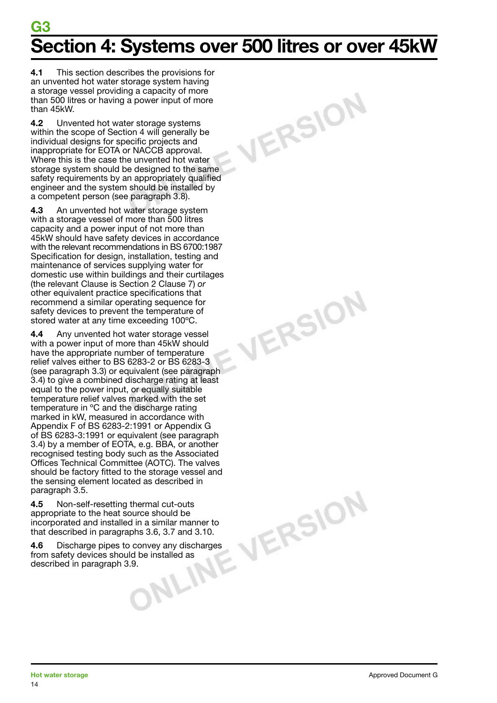# **Section 4: Systems over 500 litres or over 45kW G3**

VERSION

VERSION

**4.1** This section describes the provisions for an unvented hot water storage system having a storage vessel providing a capacity of more than 500 litres or having a power input of more than 45kW.

**4.2** Unvented hot water storage systems within the scope of Section 4 will generally be individual designs for specific projects and inappropriate for EOTA or NACCB approval. Where this is the case the unvented hot water storage system should be designed to the same safety requirements by an appropriately qualified engineer and the system should be installed by a competent person (see paragraph 3.8).

**4.3** An unvented hot water storage system with a storage vessel of more than 500 litres capacity and a power input of not more than 45kW should have safety devices in accordance with the relevant recommendations in [BS 6700:1987](http://www.theBuildingRegs.com/RefDocs/CIS/Lookup.asp?AccessionNo=98868REG) Specification for design, installation, testing and maintenance of services supplying water for domestic use within buildings and their curtilages (the relevant Clause is Section 2 Clause 7) *or*  other equivalent practice specifications that recommend a similar operating sequence for safety devices to prevent the temperature of stored water at any time exceeding 100ºC.

**4.4** Any unvented hot water storage vessel with a power input of more than 45kW should have the appropriate number of temperature relief valves either to BS 6283-2 or BS 6283-3 (see paragraph 3.3) or equivalent (see paragraph 3.4) to give a combined discharge rating at least equal to the power input, or equally suitable temperature relief valves marked with the set temperature in ºC and the discharge rating marked in kW, measured in accordance with Appendix F of [BS 6283-2:1991](http://www.theBuildingRegs.com/RefDocs/CIS/Lookup.asp?AccessionNo=16512REG) or Appendix G of BS 6283-3:1991 or equivalent (see paragraph 3.4) by a member of EOTA, e.g. BBA, or another recognised testing body such as the Associated Offices Technical Committee (AOTC). The valves the sensing element located as described in paragraph 3.5.

should be factory fitted to the storage vessel and<br>the sensing element located as described in<br>paragraph 3.5.<br>**4.5** Non-self-resetting thermal cut-outs<br>incorporated and installed in a similar manner to<br>that described in pa **4.5** Non-self-resetting thermal cut-outs appropriate to the heat source should be incorporated and installed in a similar manner to that described in paragraphs 3.6, 3.7 and 3.10.

**4.6** Discharge pipes to convey any discharges from safety devices should be installed as described in paragraph 3.9.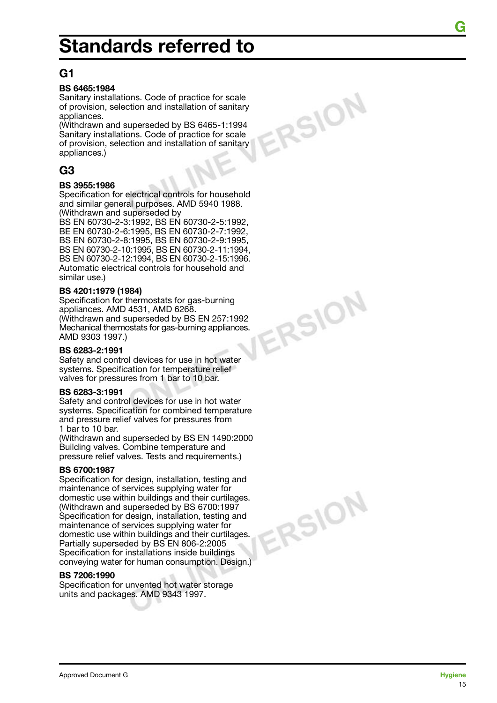# **Standards referred to**

# **G1**

## **BS 6465:1984**

Sanitary installations. Code of practice for scale of provision, selection and installation of sanitary appliances.

(Withdrawn and superseded by BS 6465- 1 : 1994 Sanitary installations. Code of practice for scale of provision, selection and installation of sanitary appliances.)

# **G3**

## **BS 3955:1986**

Specification for electrical controls for household and similar general purposes. AMD 5940 1988. (Withdrawn and superseded by

BS EN 60730-2-3: 1992, BS EN 60730-2-5: 1992, BE EN 60730-2-6: 1995, BS EN 60730-2-7: 1992, BS EN 60730-2-8: 1995, BS EN 60730-2-9: 1995, BS EN 60730-2- 10: 1995, BS EN 60730-2-11 : 1994, BS EN 60730-2- 12: 1994, BS EN 60730-2- 15: 1996. Automatic electrical controls for household and similar use.)

## **BS 4201:1979 (1984)**

Specification for thermostats for gas-burning appliances. AMD 453 1, AMD 6268. (Withdrawn and superseded by BS EN 257: 1992 Mechanical thermostats for gas-burning appliances. AMD 9303 1997.)

### **BS 6283-2:1991**

Safety and control devices for use in hot water systems. Specification for temperature relief valves for pressures from 1 bar to 10 bar.

### **BS 6283-3:1991**

Safety and control devices for use in hot water systems. Specification for combined temperature and pressure relief valves for pressures from 1 bar to 10 bar.

(Withdrawn and superseded by BS EN 1490:2000 Building valves. Combine temperature and pressure relief valves. Tests and requirements.)

## **BS 6700:1987**

Specification for design, installation, testing and maintenance of services supplying water for domestic use within buildings and their curtilages. (Withdrawn and superseded by BS 6700: 1997 Specification for design, installation, testing and maintenance of services supplying water for domestic use within buildings and their curtilages. Partially superseded by BS EN 806-2:2005 Specification for installations inside buildings conveying water for human consumption. Design.)

### **BS 7206:1990**

Specification for unvented hot water storage units and packages. AMD 9343 1997.

ERSION

ERSION

ERSION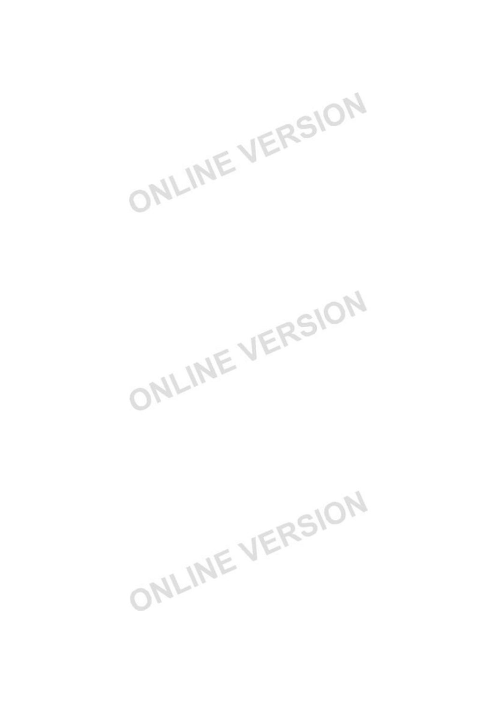